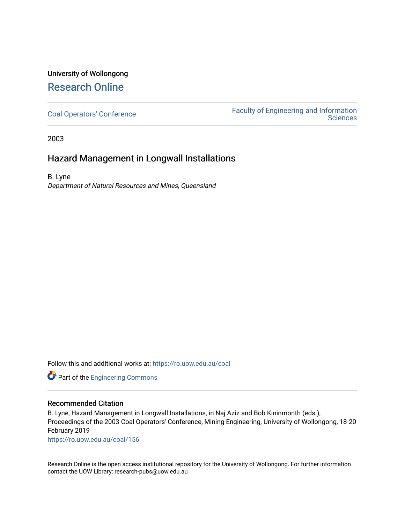## University of Wollongong [Research Online](https://ro.uow.edu.au/)

[Coal Operators' Conference](https://ro.uow.edu.au/coal) [Faculty of Engineering and Information](https://ro.uow.edu.au/eis)  **Sciences** 

2003

## Hazard Management in Longwall Installations

B. Lyne Department of Natural Resources and Mines, Queensland

Follow this and additional works at: [https://ro.uow.edu.au/coal](https://ro.uow.edu.au/coal?utm_source=ro.uow.edu.au%2Fcoal%2F156&utm_medium=PDF&utm_campaign=PDFCoverPages) 

Part of the [Engineering Commons](http://network.bepress.com/hgg/discipline/217?utm_source=ro.uow.edu.au%2Fcoal%2F156&utm_medium=PDF&utm_campaign=PDFCoverPages)

#### Recommended Citation

B. Lyne, Hazard Management in Longwall Installations, in Naj Aziz and Bob Kininmonth (eds.), Proceedings of the 2003 Coal Operators' Conference, Mining Engineering, University of Wollongong, 18-20 February 2019

[https://ro.uow.edu.au/coal/156](https://ro.uow.edu.au/coal/156?utm_source=ro.uow.edu.au%2Fcoal%2F156&utm_medium=PDF&utm_campaign=PDFCoverPages) 

Research Online is the open access institutional repository for the University of Wollongong. For further information contact the UOW Library: research-pubs@uow.edu.au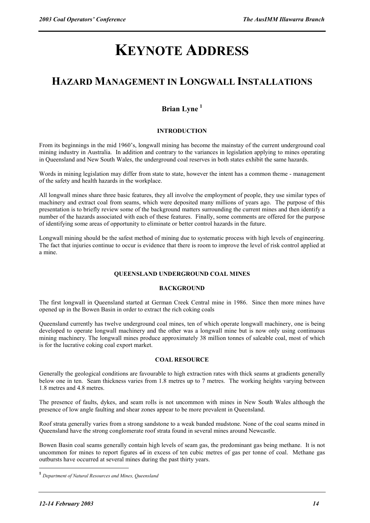# **KEYNOTE ADDRESS**

# **HAZARD MANAGEMENT IN LONGWALL INSTALLATIONS**

### **Brian Lyne 1**

#### **INTRODUCTION**

From its beginnings in the mid 1960's, longwall mining has become the mainstay of the current underground coal mining industry in Australia. In addition and contrary to the variances in legislation applying to mines operating in Queensland and New South Wales, the underground coal reserves in both states exhibit the same hazards.

Words in mining legislation may differ from state to state, however the intent has a common theme - management of the safety and health hazards in the workplace.

All longwall mines share three basic features, they all involve the employment of people, they use similar types of machinery and extract coal from seams, which were deposited many millions of years ago. The purpose of this presentation is to briefly review some of the background matters surrounding the current mines and then identify a number of the hazards associated with each of these features. Finally, some comments are offered for the purpose of identifying some areas of opportunity to eliminate or better control hazards in the future.

Longwall mining should be the safest method of mining due to systematic process with high levels of engineering. The fact that injuries continue to occur is evidence that there is room to improve the level of risk control applied at a mine.

#### **QUEENSLAND UNDERGROUND COAL MINES**

#### **BACKGROUND**

The first longwall in Queensland started at German Creek Central mine in 1986. Since then more mines have opened up in the Bowen Basin in order to extract the rich coking coals

Queensland currently has twelve underground coal mines, ten of which operate longwall machinery, one is being developed to operate longwall machinery and the other was a longwall mine but is now only using continuous mining machinery. The longwall mines produce approximately 38 million tonnes of saleable coal, most of which is for the lucrative coking coal export market.

#### **COAL RESOURCE**

Generally the geological conditions are favourable to high extraction rates with thick seams at gradients generally below one in ten. Seam thickness varies from 1.8 metres up to 7 metres. The working heights varying between 1.8 metres and 4.8 metres.

The presence of faults, dykes, and seam rolls is not uncommon with mines in New South Wales although the presence of low angle faulting and shear zones appear to be more prevalent in Queensland.

Roof strata generally varies from a strong sandstone to a weak banded mudstone. None of the coal seams mined in Queensland have the strong conglomerate roof strata found in several mines around Newcastle.

Bowen Basin coal seams generally contain high levels of seam gas, the predominant gas being methane. It is not uncommon for mines to report figures of in excess of ten cubic metres of gas per tonne of coal. Methane gas outbursts have occurred at several mines during the past thirty years.

 $\overline{a}$ 

**<sup>1</sup>** *Department of Natural Resources and Mines, Queensland*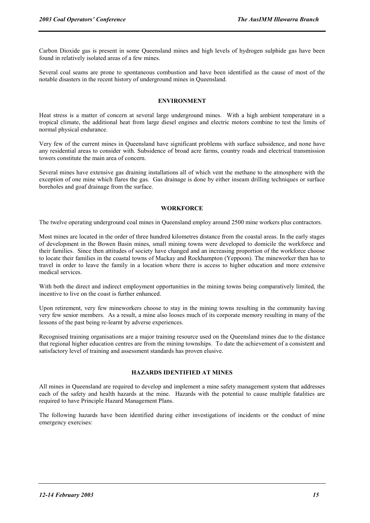Carbon Dioxide gas is present in some Queensland mines and high levels of hydrogen sulphide gas have been found in relatively isolated areas of a few mines.

Several coal seams are prone to spontaneous combustion and have been identified as the cause of most of the notable disasters in the recent history of underground mines in Queensland.

#### **ENVIRONMENT**

Heat stress is a matter of concern at several large underground mines. With a high ambient temperature in a tropical climate, the additional heat from large diesel engines and electric motors combine to test the limits of normal physical endurance.

Very few of the current mines in Queensland have significant problems with surface subsidence, and none have any residential areas to consider with. Subsidence of broad acre farms, country roads and electrical transmission towers constitute the main area of concern.

Several mines have extensive gas draining installations all of which vent the methane to the atmosphere with the exception of one mine which flares the gas. Gas drainage is done by either inseam drilling techniques or surface boreholes and goaf drainage from the surface.

#### **WORKFORCE**

The twelve operating underground coal mines in Queensland employ around 2500 mine workers plus contractors.

Most mines are located in the order of three hundred kilometres distance from the coastal areas. In the early stages of development in the Bowen Basin mines, small mining towns were developed to domicile the workforce and their families. Since then attitudes of society have changed and an increasing proportion of the workforce choose to locate their families in the coastal towns of Mackay and Rockhampton (Yeppoon). The mineworker then has to travel in order to leave the family in a location where there is access to higher education and more extensive medical services.

With both the direct and indirect employment opportunities in the mining towns being comparatively limited, the incentive to live on the coast is further enhanced.

Upon retirement, very few mineworkers choose to stay in the mining towns resulting in the community having very few senior members. As a result, a mine also looses much of its corporate memory resulting in many of the lessons of the past being re-learnt by adverse experiences.

Recognised training organisations are a major training resource used on the Queensland mines due to the distance that regional higher education centres are from the mining townships. To date the achievement of a consistent and satisfactory level of training and assessment standards has proven elusive.

#### **HAZARDS IDENTIFIED AT MINES**

All mines in Queensland are required to develop and implement a mine safety management system that addresses each of the safety and health hazards at the mine. Hazards with the potential to cause multiple fatalities are required to have Principle Hazard Management Plans.

The following hazards have been identified during either investigations of incidents or the conduct of mine emergency exercises: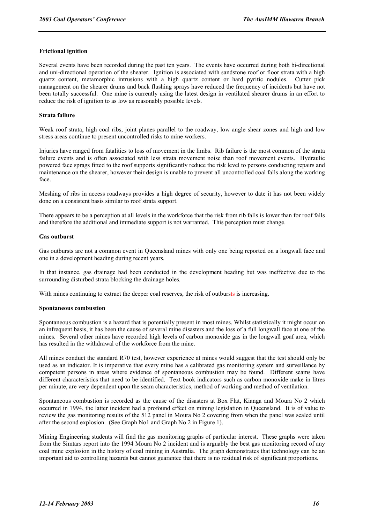#### **Frictional ignition**

Several events have been recorded during the past ten years. The events have occurred during both bi-directional and uni-directional operation of the shearer. Ignition is associated with sandstone roof or floor strata with a high quartz content, metamorphic intrusions with a high quartz content or hard pyritic nodules. Cutter pick management on the shearer drums and back flushing sprays have reduced the frequency of incidents but have not been totally successful. One mine is currently using the latest design in ventilated shearer drums in an effort to reduce the risk of ignition to as low as reasonably possible levels.

#### **Strata failure**

Weak roof strata, high coal ribs, joint planes parallel to the roadway, low angle shear zones and high and low stress areas continue to present uncontrolled risks to mine workers.

Injuries have ranged from fatalities to loss of movement in the limbs. Rib failure is the most common of the strata failure events and is often associated with less strata movement noise than roof movement events. Hydraulic powered face sprags fitted to the roof supports significantly reduce the risk level to persons conducting repairs and maintenance on the shearer, however their design is unable to prevent all uncontrolled coal falls along the working face.

Meshing of ribs in access roadways provides a high degree of security, however to date it has not been widely done on a consistent basis similar to roof strata support.

There appears to be a perception at all levels in the workforce that the risk from rib falls is lower than for roof falls and therefore the additional and immediate support is not warranted. This perception must change.

#### **Gas outburst**

Gas outbursts are not a common event in Queensland mines with only one being reported on a longwall face and one in a development heading during recent years.

In that instance, gas drainage had been conducted in the development heading but was ineffective due to the surrounding disturbed strata blocking the drainage holes.

With mines continuing to extract the deeper coal reserves, the risk of outbursts is increasing.

#### **Spontaneous combustion**

Spontaneous combustion is a hazard that is potentially present in most mines. Whilst statistically it might occur on an infrequent basis, it has been the cause of several mine disasters and the loss of a full longwall face at one of the mines. Several other mines have recorded high levels of carbon monoxide gas in the longwall goaf area, which has resulted in the withdrawal of the workforce from the mine.

All mines conduct the standard R70 test, however experience at mines would suggest that the test should only be used as an indicator. It is imperative that every mine has a calibrated gas monitoring system and surveillance by competent persons in areas where evidence of spontaneous combustion may be found. Different seams have different characteristics that need to be identified. Text book indicators such as carbon monoxide make in litres per minute, are very dependent upon the seam characteristics, method of working and method of ventilation.

Spontaneous combustion is recorded as the cause of the disasters at Box Flat, Kianga and Moura No 2 which occurred in 1994, the latter incident had a profound effect on mining legislation in Queensland. It is of value to review the gas monitoring results of the 512 panel in Moura No 2 covering from when the panel was sealed until after the second explosion. (See Graph No1 and Graph No 2 in Figure 1).

Mining Engineering students will find the gas monitoring graphs of particular interest. These graphs were taken from the Simtars report into the 1994 Moura No 2 incident and is arguably the best gas monitoring record of any coal mine explosion in the history of coal mining in Australia. The graph demonstrates that technology can be an important aid to controlling hazards but cannot guarantee that there is no residual risk of significant proportions.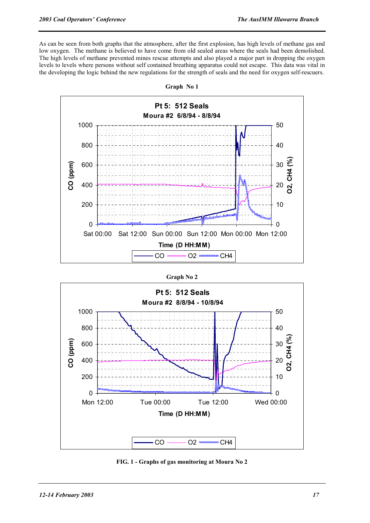As can be seen from both graphs that the atmosphere, after the first explosion, has high levels of methane gas and low oxygen. The methane is believed to have come from old sealed areas where the seals had been demolished. The high levels of methane prevented mines rescue attempts and also played a major part in dropping the oxygen levels to levels where persons without self contained breathing apparatus could not escape. This data was vital in the developing the logic behind the new regulations for the strength of seals and the need for oxygen self-rescuers.



**Graph No 1**

**Graph No 2** 



**FIG. 1 - Graphs of gas monitoring at Moura No 2**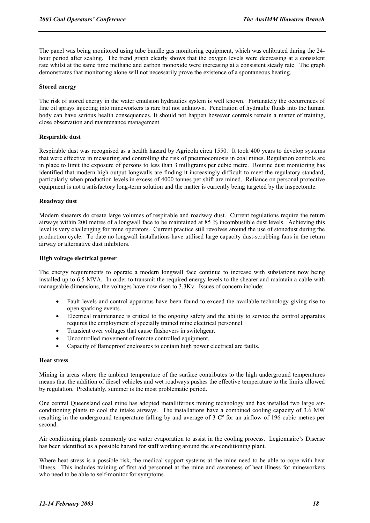The panel was being monitored using tube bundle gas monitoring equipment, which was calibrated during the 24 hour period after sealing. The trend graph clearly shows that the oxygen levels were decreasing at a consistent rate whilst at the same time methane and carbon monoxide were increasing at a consistent steady rate. The graph demonstrates that monitoring alone will not necessarily prove the existence of a spontaneous heating.

#### **Stored energy**

The risk of stored energy in the water emulsion hydraulics system is well known. Fortunately the occurrences of fine oil sprays injecting into mineworkers is rare but not unknown. Penetration of hydraulic fluids into the human body can have serious health consequences. It should not happen however controls remain a matter of training, close observation and maintenance management.

#### **Respirable dust**

Respirable dust was recognised as a health hazard by Agricola circa 1550. It took 400 years to develop systems that were effective in measuring and controlling the risk of pneumoconiosis in coal mines. Regulation controls are in place to limit the exposure of persons to less than 3 milligrams per cubic metre. Routine dust monitoring has identified that modern high output longwalls are finding it increasingly difficult to meet the regulatory standard, particularly when production levels in excess of 4000 tonnes per shift are mined. Reliance on personal protective equipment is not a satisfactory long-term solution and the matter is currently being targeted by the inspectorate.

#### **Roadway dust**

Modern shearers do create large volumes of respirable and roadway dust. Current regulations require the return airways within 200 metres of a longwall face to be maintained at 85 % incombustible dust levels. Achieving this level is very challenging for mine operators. Current practice still revolves around the use of stonedust during the production cycle. To date no longwall installations have utilised large capacity dust-scrubbing fans in the return airway or alternative dust inhibitors.

#### **High voltage electrical power**

The energy requirements to operate a modern longwall face continue to increase with substations now being installed up to 6.5 MVA. In order to transmit the required energy levels to the shearer and maintain a cable with manageable dimensions, the voltages have now risen to 3.3Kv. Issues of concern include:

- Fault levels and control apparatus have been found to exceed the available technology giving rise to open sparking events.
- Electrical maintenance is critical to the ongoing safety and the ability to service the control apparatus requires the employment of specially trained mine electrical personnel.
- Transient over voltages that cause flashovers in switchgear.
- Uncontrolled movement of remote controlled equipment.
- Capacity of flameproof enclosures to contain high power electrical arc faults.

#### **Heat stress**

Mining in areas where the ambient temperature of the surface contributes to the high underground temperatures means that the addition of diesel vehicles and wet roadways pushes the effective temperature to the limits allowed by regulation. Predictably, summer is the most problematic period.

One central Queensland coal mine has adopted metalliferous mining technology and has installed two large airconditioning plants to cool the intake airways. The installations have a combined cooling capacity of 3.6 MW resulting in the underground temperature falling by and average of 3  $\degree$  for an airflow of 196 cubic metres per second.

Air conditioning plants commonly use water evaporation to assist in the cooling process. Legionnaire's Disease has been identified as a possible hazard for staff working around the air-conditioning plant.

Where heat stress is a possible risk, the medical support systems at the mine need to be able to cope with heat illness. This includes training of first aid personnel at the mine and awareness of heat illness for mineworkers who need to be able to self-monitor for symptoms.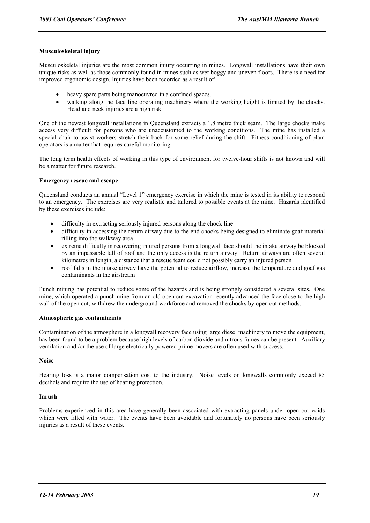#### **Musculoskeletal injury**

Musculoskeletal injuries are the most common injury occurring in mines. Longwall installations have their own unique risks as well as those commonly found in mines such as wet boggy and uneven floors. There is a need for improved ergonomic design. Injuries have been recorded as a result of:

- heavy spare parts being manoeuvred in a confined spaces.
- walking along the face line operating machinery where the working height is limited by the chocks. Head and neck injuries are a high risk.

One of the newest longwall installations in Queensland extracts a 1.8 metre thick seam. The large chocks make access very difficult for persons who are unaccustomed to the working conditions. The mine has installed a special chair to assist workers stretch their back for some relief during the shift. Fitness conditioning of plant operators is a matter that requires careful monitoring.

The long term health effects of working in this type of environment for twelve-hour shifts is not known and will be a matter for future research.

#### **Emergency rescue and escape**

Queensland conducts an annual "Level 1" emergency exercise in which the mine is tested in its ability to respond to an emergency. The exercises are very realistic and tailored to possible events at the mine. Hazards identified by these exercises include:

- difficulty in extracting seriously injured persons along the chock line
- difficulty in accessing the return airway due to the end chocks being designed to eliminate goaf material rilling into the walkway area
- extreme difficulty in recovering injured persons from a longwall face should the intake airway be blocked by an impassable fall of roof and the only access is the return airway. Return airways are often several kilometres in length, a distance that a rescue team could not possibly carry an injured person
- roof falls in the intake airway have the potential to reduce airflow, increase the temperature and goaf gas contaminants in the airstream

Punch mining has potential to reduce some of the hazards and is being strongly considered a several sites. One mine, which operated a punch mine from an old open cut excavation recently advanced the face close to the high wall of the open cut, withdrew the underground workforce and removed the chocks by open cut methods.

#### **Atmospheric gas contaminants**

Contamination of the atmosphere in a longwall recovery face using large diesel machinery to move the equipment, has been found to be a problem because high levels of carbon dioxide and nitrous fumes can be present. Auxiliary ventilation and /or the use of large electrically powered prime movers are often used with success.

#### **Noise**

Hearing loss is a major compensation cost to the industry. Noise levels on longwalls commonly exceed 85 decibels and require the use of hearing protection.

#### **Inrush**

Problems experienced in this area have generally been associated with extracting panels under open cut voids which were filled with water. The events have been avoidable and fortunately no persons have been seriously injuries as a result of these events.